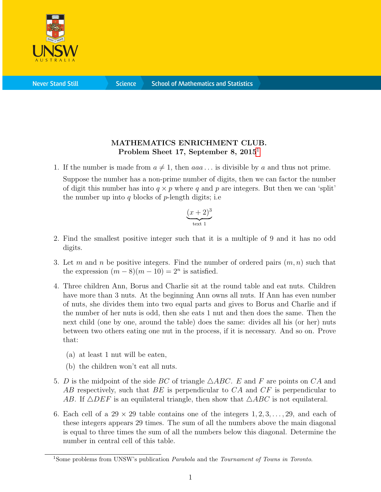

**Science** 

## MATHEMATICS ENRICHMENT CLUB. Problem Sheet [1](#page-0-0)7, September 8, 2015<sup>1</sup>

1. If the number is made from  $a \neq 1$ , then  $aaa \dots$  is divisible by a and thus not prime.

Suppose the number has a non-prime number of digits, then we can factor the number of digit this number has into  $q \times p$  where q and p are integers. But then we can 'split' the number up into q blocks of  $p$ -length digits; i.e.

$$
\underbrace{(x+2)^3}_{\text{text 1}}
$$

- 2. Find the smallest positive integer such that it is a multiple of 9 and it has no odd digits.
- 3. Let m and n be positive integers. Find the number of ordered pairs  $(m, n)$  such that the expression  $(m-8)(m-10) = 2<sup>n</sup>$  is satisfied.
- 4. Three children Ann, Borus and Charlie sit at the round table and eat nuts. Children have more than 3 nuts. At the beginning Ann owns all nuts. If Ann has even number of nuts, she divides them into two equal parts and gives to Borus and Charlie and if the number of her nuts is odd, then she eats 1 nut and then does the same. Then the next child (one by one, around the table) does the same: divides all his (or her) nuts between two others eating one nut in the process, if it is necessary. And so on. Prove that:
	- (a) at least 1 nut will be eaten,
	- (b) the children won't eat all nuts.
- 5. D is the midpoint of the side BC of triangle  $\triangle ABC$ . E and F are points on CA and AB respectively, such that BE is perpendicular to CA and CF is perpendicular to AB. If  $\triangle DEF$  is an equilateral triangle, then show that  $\triangle ABC$  is not equilateral.
- 6. Each cell of a  $29 \times 29$  table contains one of the integers  $1, 2, 3, \ldots, 29$ , and each of these integers appears 29 times. The sum of all the numbers above the main diagonal is equal to three times the sum of all the numbers below this diagonal. Determine the number in central cell of this table.

<span id="page-0-0"></span><sup>&</sup>lt;sup>1</sup>Some problems from UNSW's publication *Parabola* and the *Tournament of Towns in Toronto*.